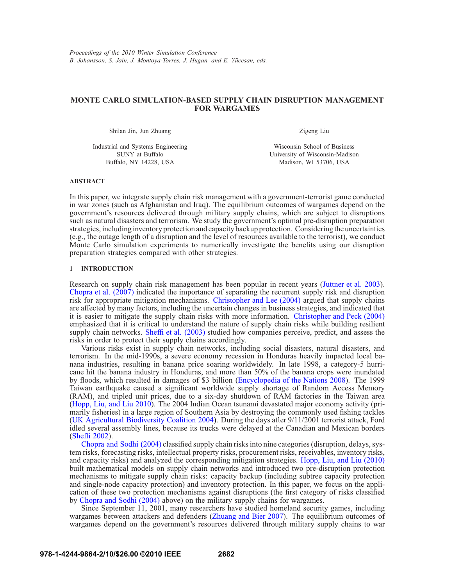# **MONTE CARLO SIMULATION-BASED SUPPLY CHAIN DISRUPTION MANAGEMENT FOR WARGAMES**

Shilan Jin, Jun Zhuang

Industrial and Systems Engineering SUNY at Buffalo Buffalo, NY 14228, USA

Zigeng Liu

Wisconsin School of Business University of Wisconsin-Madison Madison, WI 53706, USA

### **ABSTRACT**

In this paper, we integrate supply chain risk management with a government-terrorist game conducted in war zones (such as Afghanistan and Iraq). The equilibrium outcomes of wargames depend on the government's resources delivered through military supply chains, which are subject to disruptions such as natural disasters and terrorism. We study the government's optimal pre-disruption preparation strategies, including inventory protection and capacity backup protection. Considering the uncertainties (e.g., the outage length of a disruption and the level of resources available to the terrorist), we conduct Monte Carlo simulation experiments to numerically investigate the benefits using our disruption preparation strategies compared with other strategies.

## **1 INTRODUCTION**

Research on supply chain risk management has been popular in recent years (Juttner et al. 2003). Chopra et al. (2007) indicated the importance of separating the recurrent supply risk and disruption risk for appropriate mitigation mechanisms. Christopher and Lee (2004) argued that supply chains are affected by many factors, including the uncertain changes in business strategies, and indicated that it is easier to mitigate the supply chain risks with more information. Christopher and Peck (2004) emphasized that it is critical to understand the nature of supply chain risks while building resilient supply chain networks. Sheffi et al. (2003) studied how companies perceive, predict, and assess the risks in order to protect their supply chains accordingly.

Various risks exist in supply chain networks, including social disasters, natural disasters, and terrorism. In the mid-1990s, a severe economy recession in Honduras heavily impacted local banana industries, resulting in banana price soaring worldwidely. In late 1998, a category-5 hurricane hit the banana industry in Honduras, and more than 50% of the banana crops were inundated by floods, which resulted in damages of \$3 billion (Encyclopedia of the Nations 2008). The 1999 Taiwan earthquake caused a significant worldwide supply shortage of Random Access Memory (RAM), and tripled unit prices, due to a six-day shutdown of RAM factories in the Taiwan area (Hopp, Liu, and Liu 2010). The 2004 Indian Ocean tsunami devastated major economy activity (primarily fisheries) in a large region of Southern Asia by destroying the commonly used fishing tackles (UK Agricultural Biodiversity Coalition 2004). During the days after 9/11/2001 terrorist attack, Ford idled several assembly lines, because its trucks were delayed at the Canadian and Mexican borders (Sheffi 2002).

Chopra and Sodhi (2004) classified supply chain risks into nine categories (disruption, delays, system risks, forecasting risks, intellectual property risks, procurement risks, receivables, inventory risks, and capacity risks) and analyzed the corresponding mitigation strategies. Hopp, Liu, and Liu (2010) built mathematical models on supply chain networks and introduced two pre-disruption protection mechanisms to mitigate supply chain risks: capacity backup (including subtree capacity protection and single-node capacity protection) and inventory protection. In this paper, we focus on the application of these two protection mechanisms against disruptions (the first category of risks classified by Chopra and Sodhi (2004) above) on the military supply chains for wargames.

Since September 11, 2001, many researchers have studied homeland security games, including wargames between attackers and defenders (Zhuang and Bier 2007). The equilibrium outcomes of wargames depend on the government's resources delivered through military supply chains to war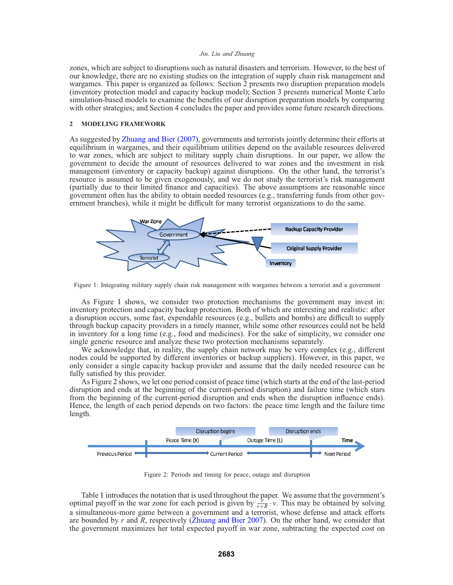zones, which are subject to disruptions such as natural disasters and terrorism. However, to the best of our knowledge, there are no existing studies on the integration of supply chain risk management and wargames. This paper is organized as follows: Section 2 presents two disruption preparation models (inventory protection model and capacity backup model); Section 3 presents numerical Monte Carlo simulation-based models to examine the benefits of our disruption preparation models by comparing with other strategies; and Section 4 concludes the paper and provides some future research directions.

## **2 MODELING FRAMEWORK**

As suggested by Zhuang and Bier (2007), governments and terrorists jointly determine their efforts at equilibrium in wargames, and their equilibrium utilities depend on the available resources delivered to war zones, which are subject to military supply chain disruptions. In our paper, we allow the government to decide the amount of resources delivered to war zones and the investment in risk management (inventory or capacity backup) against disruptions. On the other hand, the terrorist's resource is assumed to be given exogenously, and we do not study the terrorist's risk management (partially due to their limited finance and capacities). The above assumptions are reasonable since government often has the ability to obtain needed resources (e.g., transferring funds from other government branches), while it might be difficult for many terrorist organizations to do the same.



Figure 1: Integrating military supply chain risk management with wargames between a terrorist and a government

As Figure 1 shows, we consider two protection mechanisms the government may invest in: inventory protection and capacity backup protection. Both of which are interesting and realistic: after a disruption occurs, some fast, expendable resources (e.g., bullets and bombs) are difficult to supply through backup capacity providers in a timely manner, while some other resources could not be held in inventory for a long time (e.g., food and medicines). For the sake of simplicity, we consider one single generic resource and analyze these two protection mechanisms separately.

We acknowledge that, in reality, the supply chain network may be very complex (e.g., different nodes could be supported by different inventories or backup suppliers). However, in this paper, we only consider a single capacity backup provider and assume that the daily needed resource can be fully satisfied by this provider.

As Figure 2 shows, we let one period consist of peace time (which starts at the end of the last-period disruption and ends at the beginning of the current-period disruption) and failure time (which stars from the beginning of the current-period disruption and ends when the disruption influence ends). Hence, the length of each period depends on two factors: the peace time length and the failure time length.



Figure 2: Periods and timing for peace, outage and disruption

Table 1 introduces the notation that is used throughout the paper. We assume that the government's optimal payoff in the war zone for each period is given by  $\frac{r}{r+R} \cdot v$ . This may be obtained by solving a simultaneous-more game between a government and a terrorist, whose defense and attack efforts are bounded by *r* and *R*, respectively (Zhuang and Bier 2007). On the other hand, we consider that the government maximizes her total expected payoff in war zone, subtracting the expected cost on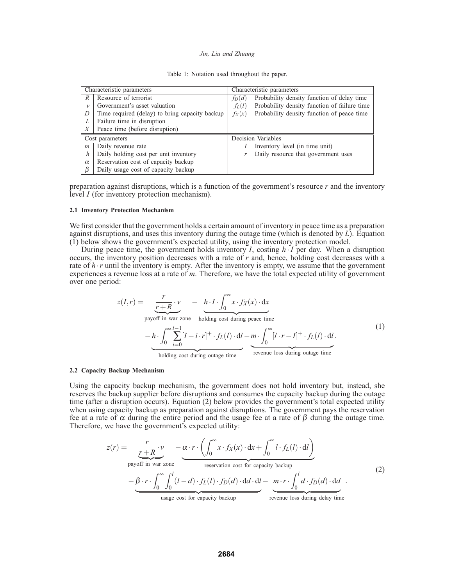|  |  |  |  | Table 1: Notation used throughout the paper. |  |  |
|--|--|--|--|----------------------------------------------|--|--|
|--|--|--|--|----------------------------------------------|--|--|

|                | Characteristic parameters                      |   | Characteristic parameters                    |  |  |
|----------------|------------------------------------------------|---|----------------------------------------------|--|--|
| R              | Resource of terrorist                          |   | Probability density function of delay time   |  |  |
| $\mathcal V$   | Government's asset valuation                   |   | Probability density function of failure time |  |  |
| D              | Time required (delay) to bring capacity backup |   | Probability density function of peace time   |  |  |
| L              | Failure time in disruption                     |   |                                              |  |  |
| X              | Peace time (before disruption)                 |   |                                              |  |  |
|                | Cost parameters                                |   | Decision Variables                           |  |  |
| $\mathfrak{m}$ | Daily revenue rate                             |   | Inventory level (in time unit)               |  |  |
| h              | Daily holding cost per unit inventory          | r | Daily resource that government uses          |  |  |
| $\alpha$       | Reservation cost of capacity backup            |   |                                              |  |  |
| β              | Daily usage cost of capacity backup            |   |                                              |  |  |

preparation against disruptions, which is a function of the government's resource *r* and the inventory level *I* (for inventory protection mechanism).

### **2.1 Inventory Protection Mechanism**

We first consider that the government holds a certain amount of inventory in peace time as a preparation against disruptions, and uses this inventory during the outage time (which is denoted by *L*). Equation (1) below shows the government's expected utility, using the inventory protection model.

During peace time, the government holds inventory  $I$ , costing  $h \cdot I$  per day. When a disruption occurs, the inventory position decreases with a rate of *r* and, hence, holding cost decreases with a rate of  $h \cdot r$  until the inventory is empty. After the inventory is empty, we assume that the government experiences a revenue loss at a rate of *m*. Therefore, we have the total expected utility of government over one period:

$$
z(I,r) = \underbrace{r \cdot R}_{\text{payoff in war zone}} \cdot v - h \cdot I \cdot \int_0^\infty x \cdot f_X(x) \cdot dx
$$
\n
$$
- h \cdot \int_0^\infty \sum_{i=0}^{l-1} [I - i \cdot r]^+ \cdot f_L(l) \cdot dI - m \cdot \int_0^\infty [I \cdot r - I]^+ \cdot f_L(l) \cdot dI.
$$
\n(1)\n
$$
\underbrace{\qquad \qquad }_{\text{holding cost during outage time}} \qquad \qquad (1)
$$

## **2.2 Capacity Backup Mechanism**

Using the capacity backup mechanism, the government does not hold inventory but, instead, she reserves the backup supplier before disruptions and consumes the capacity backup during the outage time (after a disruption occurs). Equation (2) below provides the government's total expected utility when using capacity backup as preparation against disruptions. The government pays the reservation fee at a rate of  $\alpha$  during the entire period and the usage fee at a rate of  $\beta$  during the outage time. Therefore, we have the government's expected utility:

$$
z(r) = \underbrace{\frac{r}{r+R} \cdot v}_{\text{payoff in war zone}} - \underbrace{\alpha \cdot r \cdot \left( \int_0^\infty x \cdot f_X(x) \cdot dx + \int_0^\infty l \cdot f_L(l) \cdot dl \right)}_{\text{reservation cost for capacity backup}} \tag{2}
$$
\n
$$
- \underbrace{\beta \cdot r \cdot \int_0^\infty \int_0^l (l-d) \cdot f_L(l) \cdot f_D(d) \cdot dd \cdot dl}_{\text{usage cost for capacity backup}} - \underbrace{m \cdot r \cdot \int_0^l d \cdot f_D(d) \cdot dd}_{\text{revenue loss during delay time}} \tag{2}
$$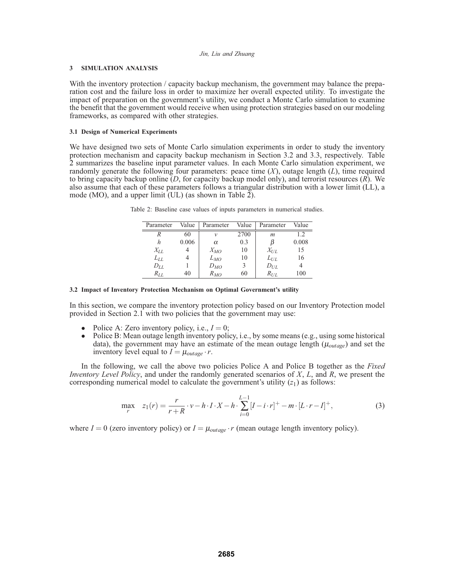## **3 SIMULATION ANALYSIS**

With the inventory protection / capacity backup mechanism, the government may balance the preparation cost and the failure loss in order to maximize her overall expected utility. To investigate the impact of preparation on the government's utility, we conduct a Monte Carlo simulation to examine the benefit that the government would receive when using protection strategies based on our modeling frameworks, as compared with other strategies.

## **3.1 Design of Numerical Experiments**

We have designed two sets of Monte Carlo simulation experiments in order to study the inventory protection mechanism and capacity backup mechanism in Section 3.2 and 3.3, respectively. Table 2 summarizes the baseline input parameter values. In each Monte Carlo simulation experiment, we randomly generate the following four parameters: peace time  $(X)$ , outage length  $(L)$ , time required to bring capacity backup online (*D*, for capacity backup model only), and terrorist resources (*R*). We also assume that each of these parameters follows a triangular distribution with a lower limit (LL), a mode (MO), and a upper limit (UL) (as shown in Table 2).

| Parameter       | Value | Parameter | Value | Parameter | Value |
|-----------------|-------|-----------|-------|-----------|-------|
|                 | 60    | ν         | 2700  | m         | 1.2   |
| h               | 0.006 | $\alpha$  | 0.3   | ß         | 0.008 |
| $X_{LL}$        |       | $X_{MO}$  | 10    | $X_{UL}$  | 15    |
| L <sub>LL</sub> |       | $L_{MO}$  | 10    | $L_{UL}$  | 16    |
| $D_{LL}$        |       | $D_{MO}$  | 3     | $D_{UL}$  |       |
| $R_{LL}$        | 40    | $R_{MO}$  | 60    | $R_{UL}$  | 100   |

Table 2: Baseline case values of inputs parameters in numerical studies.

### **3.2 Impact of Inventory Protection Mechanism on Optimal Government's utility**

In this section, we compare the inventory protection policy based on our Inventory Protection model provided in Section 2.1 with two policies that the government may use:

- Police A: Zero inventory policy, i.e.,  $I = 0$ ;
- Police B: Mean outage length inventory policy, i.e., by some means (e.g., using some historical data), the government may have an estimate of the mean outage length (μ*outage*) and set the inventory level equal to  $I = \mu_{outage} \cdot r$ .

In the following, we call the above two policies Police A and Police B together as the *Fixed Inventory Level Policy*, and under the randomly generated scenarios of *X*, *L*, and *R*, we present the corresponding numerical model to calculate the government's utility  $(z_1)$  as follows:

$$
\max_{r} z_1(r) = \frac{r}{r+R} \cdot v - h \cdot I \cdot X - h \cdot \sum_{i=0}^{L-1} [I - i \cdot r]^{+} - m \cdot [L \cdot r - I]^{+},
$$
\n(3)

where  $I = 0$  (zero inventory policy) or  $I = \mu_{outage} \cdot r$  (mean outage length inventory policy).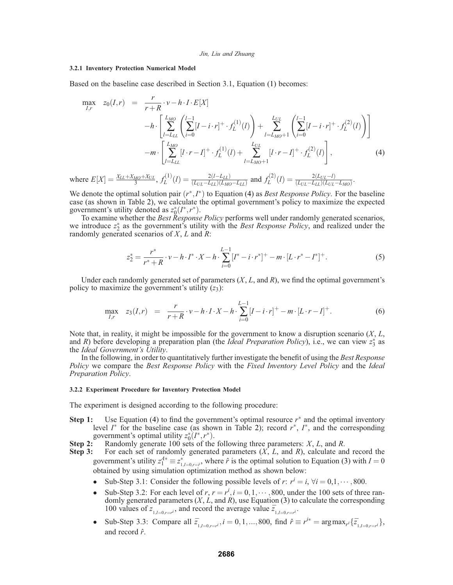## **3.2.1 Inventory Protection Numerical Model**

Based on the baseline case described in Section 3.1, Equation (1) becomes:

$$
\max_{I,r} \quad z_0(I,r) = \frac{r}{r+R} \cdot v - h \cdot I \cdot E[X] \\
- h \cdot \left[ \sum_{l=L_{LL}}^{L_{MO}} \left( \sum_{i=0}^{l-1} [I - i \cdot r]^{+} \cdot f_L^{(1)}(l) \right) + \sum_{l=L_{MO}+1}^{L_{UL}} \left( \sum_{i=0}^{l-1} [I - i \cdot r]^{+} \cdot f_L^{(2)}(l) \right) \right] \\
-m \cdot \left[ \sum_{l=L_{LL}}^{L_{MO}} [I \cdot r - I]^{+} \cdot f_L^{(1)}(l) + \sum_{l=L_{MO}+1}^{L_{UL}} [I \cdot r - I]^{+} \cdot f_L^{(2)}(l) \right], \tag{4}
$$

where  $E[X] = \frac{X_{LL} + X_{M0} + X_{UL}}{3}$ ,  $f_L^{(1)}(l) = \frac{2(l - L_{LL})}{(L_{UL} - L_{LL})(L_{M0} - L_{LL})}$  and  $f_L^{(2)}(l) = \frac{2(L_{UL} - l)}{(L_{UL} - L_{LL})(L_{UL} - L_{M0})}$ .

We denote the optimal solution pair (*r*∗,*I*∗) to Equation (4) as *Best Response Policy*. For the baseline case (as shown in Table 2), we calculate the optimal government's policy to maximize the expected government's utility denoted as  $z_0^*(I^*, r^*)$ .

To examine whether the *Best Response Policy* performs well under randomly generated scenarios, we introduce  $z_2^*$  as the government's utility with the *Best Response Policy*, and realized under the randomly generated scenarios of *X*, *L* and *R*:

$$
z_2^* = \frac{r^*}{r^* + R} \cdot \nu - h \cdot I^* \cdot X - h \cdot \sum_{i=0}^{L-1} [I^* - i \cdot r^*]^+ - m \cdot [L \cdot r^* - I^*]^+.
$$
 (5)

Under each randomly generated set of parameters (*X*, *L*, and *R*), we find the optimal government's policy to maximize the government's utility  $(z_3)$ :

$$
\max_{I,r} \quad z_3(I,r) \quad = \quad \frac{r}{r+R} \cdot \nu - h \cdot I \cdot X - h \cdot \sum_{i=0}^{L-1} [I - i \cdot r]^+ - m \cdot [L \cdot r - I]^+ \,. \tag{6}
$$

Note that, in reality, it might be impossible for the government to know a disruption scenario (*X*, *L*, and *R*) before developing a preparation plan (the *Ideal Preparation Policy*), i.e., we can view  $z_3^*$  as the *Ideal Government's Utility*.

In the following, in order to quantitatively further investigate the benefit of using the *Best Response Policy* we compare the *Best Response Policy* with the *Fixed Inventory Level Policy* and the *Ideal Preparation Policy*.

#### **3.2.2 Experiment Procedure for Inventory Protection Model**

The experiment is designed according to the following procedure:

- **Step 1:** Use Equation (4) to find the government's optimal resource  $r^*$  and the optimal inventory level *I*<sup>∗</sup> for the baseline case (as shown in Table 2); record *r*∗, *I*∗, and the corresponding government's optimal utility  $z_0^*(I^*, r^*)$ .
- **Step 2:** Randomly generate 100 sets of the following three parameters: *X*, *L*, and *R*. **Step 3:** For each set of randomly generated parameters (*X*, *L*, and *R*), calculate an
	- For each set of randomly generated parameters  $(X, L)$ , and *R*), calculate and record the government's utility  $z_1^{A*} \equiv z^*_{1,I=0,r=\hat{r}}$ , where  $\hat{r}$  is the optimal solution to Equation (3) with  $I=0$ obtained by using simulation optimization method as shown below:
		- Sub-Step 3.1: Consider the following possible levels of *r*:  $r^i = i$ ,  $\forall i = 0,1,\dots,800$ .
		- Sub-Step 3.2: For each level of  $r, r = r^i, i = 0, 1, \dots, 800$ , under the 100 sets of three randomly generated parameters (*X*, *L*, and *R*), use Equation (3) to calculate the corresponding 100 values of  $z_{1,l=0,r=r}$ , and record the average value  $\overline{z}_{1,l=0,r=r}$ .
		- Sub-Step 3.3: Compare all  $\overline{z}_{1, I=0, r=r^i}$ ,  $i = 0, 1, ..., 800$ , find  $\hat{r} \equiv r^{i*} = \arg \max_{r^i} {\{\overline{z}_{1, I=0, r=r^i}\}}$ , and record ˆ*r*.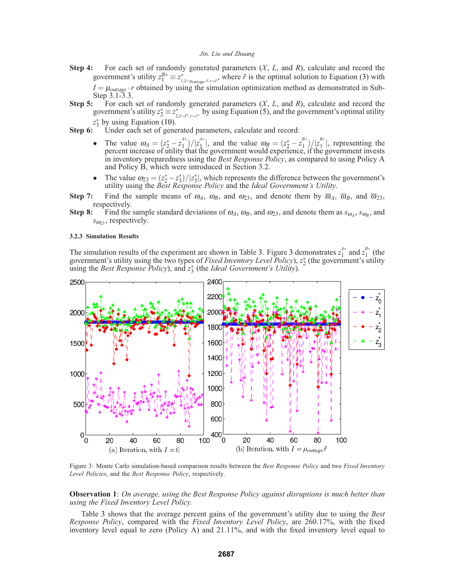- **Step 4:** For each set of randomly generated parameters (*X*, *L*, and *R*), calculate and record the government's utility  $z_1^{B*} \equiv z_{1,I=\mu_{outage},\tilde{r},r=\tilde{r}}^*$ , where  $\tilde{r}$  is the optimal solution to Equation (3) with  $I = \mu_{outage} \cdot r$  obtained by using the simulation optimization method as demonstrated in Sub-Step 3.1-3.3.
- **Step 5:** For each set of randomly generated parameters (*X*, *L*, and *R*), calculate and record the government's utility  $z_2^* \equiv z_{2,I=I^*,r=r^*}^*$  by using Equation (5), and the government's optimal utility *z*∗ <sup>3</sup> by using Equation (10).
- **Step 6:** Under each set of generated parameters, calculate and record:
	- The value  $\omega_A = (z_2^* z_1^{A*})/|z_1^{A*}|$ , and the value  $\omega_B = (z_2^* z_1^{B*})/|z_1^{B*}|$ , representing the percent increase of utility that the government would experience, if the government invests in inventory preparedness using the *Best Response Policy*, as compared to using Policy A and Policy B, which were introduced in Section 3.2.
	- The value  $\omega_{23} = (z_2^* z_3^*)/|z_3^*|$ , which represents the difference between the government's utility using the *Best Response Policy* and the *Ideal Government's Utility*.
- **Step 7:** Find the sample means of  $\omega_A$ ,  $\omega_B$ , and  $\omega_{23}$ , and denote them by  $\overline{\omega}_A$ ,  $\overline{\omega}_B$ , and  $\overline{\omega}_{23}$ , respectively.
- **Step 8:** Find the sample standard deviations of  $\omega_A$ ,  $\omega_B$ , and  $\omega_{23}$ , and denote them as  $s_{\omega_A}$ ,  $s_{\omega_B}$ , and  $s_{\omega_{23}}$ , respectively.

### **3.2.3 Simulation Results**

The simulation results of the experiment are shown in Table 3. Figure 3 demonstrates  $z_1^{A*}$  and  $z_1^{B*}$  (the government's utility using the two types of *Fixed Inventory Level Policy*),  $z_2^*$  (the government's utility using the *Best Response Policy*), and *z*<sup>∗</sup> <sup>3</sup> (the *Ideal Government's Utility*).



Figure 3: Monte Carlo simulation-based comparison results between the *Best Response Policy* and two *Fixed Inventory Level Policies*, and the *Best Response Policy*, respectively.

**Observation 1**: *On average, using the Best Response Policy against disruptions is much better than using the Fixed Inventory Level Policy.*

Table 3 shows that the average percent gains of the government's utility due to using the *Best Response Policy*, compared with the *Fixed Inventory Level Policy*, are 260.17%, with the fixed inventory level equal to zero (Policy A) and 21.11%, and with the fixed inventory level equal to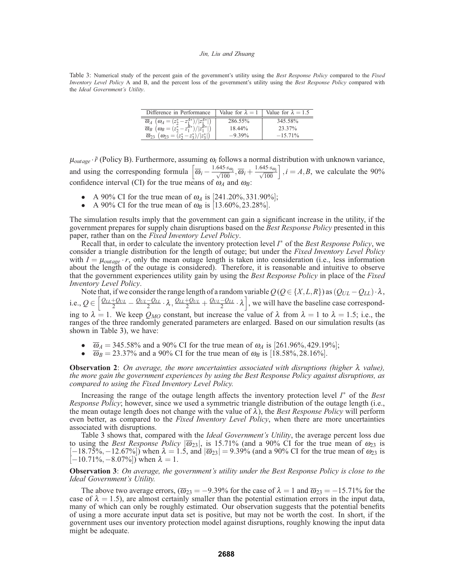Table 3: Numerical study of the percent gain of the government's utility using the *Best Response Policy* compared to the *Fixed Inventory Level Policy* A and B, and the percent loss of the government's utility using the *Best Response Policy* compared with the *Ideal Government's Utility*.

| Difference in Performance                                                                                                                | Value for $\lambda = 1$ | Value for $\lambda = 1.5$ |
|------------------------------------------------------------------------------------------------------------------------------------------|-------------------------|---------------------------|
| $\overline{\omega}_A$ $(\omega_A = (z_2^* - z_1^{A*})/ z_1^{A*} )$<br>$\overline{\omega}_B$ $(\omega_B = (z_2^* - z_1^{B*})/ z_1^{B*} )$ | 286.55%                 | 345.58%                   |
| $\overline{\omega}_{23}$                                                                                                                 | 18.44%                  | 23.37%                    |
| $(\omega_{23}=(z_2^*-z_3^*)/ z_3^* )$                                                                                                    | $-9.39%$                | $-15.71\%$                |

 $\mu_{outage} \cdot \tilde{r}$  (Policy B). Furthermore, assuming  $\omega_i$  follows a normal distribution with unknown variance, and using the corresponding formula  $\left[\overline{\omega}_i - \frac{1.645 \cdot s_{\omega_i}}{\sqrt{100}}, \overline{\omega}_i + \frac{1.645 \cdot s_{\omega_i}}{\sqrt{100}}\right], i = A, B$ , we calculate the 90% confidence interval (CI) for the true means of  $\omega_A$  and  $\omega_B$ :

- A 90% CI for the true mean of  $\omega_A$  is [241.20%, 331.90%];
- A 90% CI for the true mean of  $\omega_B$  is [13.60%, 23.28%].

The simulation results imply that the government can gain a significant increase in the utility, if the government prepares for supply chain disruptions based on the *Best Response Policy* presented in this paper, rather than on the *Fixed Inventory Level Policy*.

Recall that, in order to calculate the inventory protection level *I*<sup>∗</sup> of the *Best Response Policy*, we consider a triangle distribution for the length of outage; but under the *Fixed Inventory Level Policy* with  $I = \mu_{outage} \cdot r$ , only the mean outage length is taken into consideration (i.e., less information about the length of the outage is considered). Therefore, it is reasonable and intuitive to observe that the government experiences utility gain by using the *Best Response Policy* in place of the *Fixed Inventory Level Policy*.

Note that, if we consider the range length of a random variable  $Q(Q \in \{X, L, R\})$  as  $(Q_{UL} - Q_{LL}) \cdot \lambda$ , i.e.,  $Q \in \left[\frac{Q_{LL} + Q_{UL}}{2} - \frac{Q_{UL} - Q_{LL}}{2} \cdot \lambda, \frac{Q_{LL} + Q_{UL}}{2} + \frac{Q_{UL} - Q_{LL}}{2} \cdot \lambda\right]$ , we will have the baseline case corresponding to  $\lambda = 1$ . We keep  $Q_{MO}$  constant, but increase the value of  $\lambda$  from  $\lambda = 1$  to  $\lambda = 1.5$ ; i.e., the ranges of the three randomly generated parameters are enlarged. Based on our simulation results (as shown in Table 3), we have:

- $\overline{\omega}_A = 345.58\%$  and a 90% CI for the true mean of  $\omega_A$  is [261.96%, 429.19%];
- $\overline{\omega}_B = 23.37\%$  and a 90% CI for the true mean of  $\omega_B$  is [18.58%, 28.16%].

**Observation 2**: *On average, the more uncertainties associated with disruptions (higher* λ *value), the more gain the government experiences by using the Best Response Policy against disruptions, as compared to using the Fixed Inventory Level Policy.*

Increasing the range of the outage length affects the inventory protection level *I*<sup>∗</sup> of the *Best Response Policy*; however, since we used a symmetric triangle distribution of the outage length (i.e., the mean outage length does not change with the value of  $\lambda$ ), the *Best Response Policy* will perform even better, as compared to the *Fixed Inventory Level Policy*, when there are more uncertainties associated with disruptions.

Table 3 shows that, compared with the *Ideal Government's Utility*, the average percent loss due to using the *Best Response Policy*  $|\overline{\omega}_{23}|$ , is 15.71% (and a 90% CI for the true mean of  $\omega_{23}$  is  $[-18.75\%, -12.67\%]$ ) when  $\lambda = 1.5$ , and  $|\overline{\omega}_{23}| = 9.39\%$  (and a 90% CI for the true mean of  $\omega_{23}$  is  $[-10.71\%, -8.07\%]$  when  $\lambda = 1$ .

## **Observation 3**: *On average, the government's utility under the Best Response Policy is close to the Ideal Government's Utility.*

The above two average errors,  $(\overline{\omega}_{23} = -9.39\%$  for the case of  $\lambda = 1$  and  $\overline{\omega}_{23} = -15.71\%$  for the case of  $\lambda = 1.5$ ), are almost certainly smaller than the potential estimation errors in the input data, many of which can only be roughly estimated. Our observation suggests that the potential benefits of using a more accurate input data set is positive, but may not be worth the cost. In short, if the government uses our inventory protection model against disruptions, roughly knowing the input data might be adequate.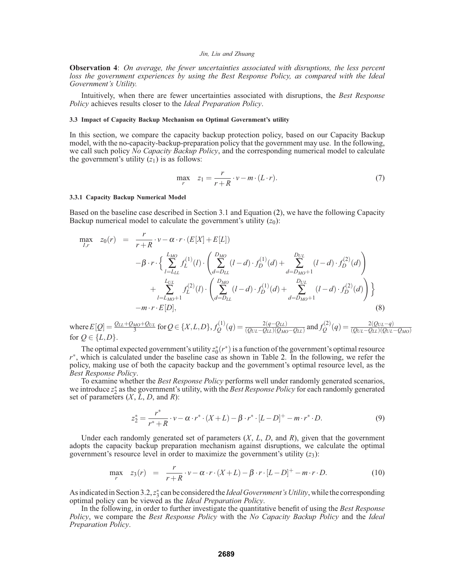**Observation 4**: *On average, the fewer uncertainties associated with disruptions, the less percent loss the government experiences by using the Best Response Policy, as compared with the Ideal Government's Utility.*

Intuitively, when there are fewer uncertainties associated with disruptions, the *Best Response Policy* achieves results closer to the *Ideal Preparation Policy*.

### **3.3 Impact of Capacity Backup Mechanism on Optimal Government's utility**

In this section, we compare the capacity backup protection policy, based on our Capacity Backup model, with the no-capacity-backup-preparation policy that the government may use. In the following, we call such policy *No Capacity Backup Policy*, and the corresponding numerical model to calculate the government's utility  $(z_1)$  is as follows:

$$
\max_{r} \quad z_1 = \frac{r}{r+R} \cdot v - m \cdot (L \cdot r). \tag{7}
$$

#### **3.3.1 Capacity Backup Numerical Model**

Based on the baseline case described in Section 3.1 and Equation (2), we have the following Capacity Backup numerical model to calculate the government's utility  $(z_0)$ :

$$
\max_{I,r} \quad z_0(r) = \frac{r}{r+R} \cdot v - \alpha \cdot r \cdot (E[X] + E[L])
$$
\n
$$
- \beta \cdot r \cdot \left\{ \sum_{l=L_{LL}}^{L_{MO}} f_1^{(1)}(l) \cdot \left( \sum_{d=D_{LL}}^{D_{MO}} (l-d) \cdot f_D^{(1)}(d) + \sum_{d=D_{MO}+1}^{D_{UL}} (l-d) \cdot f_D^{(2)}(d) \right) + \sum_{l=L_{MO}+1}^{L_{UL}} f_L^{(2)}(l) \cdot \left( \sum_{d=D_{LL}}^{D_{MO}} (l-d) \cdot f_D^{(1)}(d) + \sum_{d=D_{MO}+1}^{D_{UL}} (l-d) \cdot f_D^{(2)}(d) \right) \right\}
$$
\n
$$
- m \cdot r \cdot E[D], \tag{8}
$$

where  $E[Q] = \frac{Q_{LL} + Q_{M0} + Q_{UL}}{3}$  for  $Q \in \{X, L, D\}$ ,  $f_Q^{(1)}(q) = \frac{2(q - Q_{LL})}{(Q_{UL} - Q_{LL})(Q_{M0} - Q_{LL})}$  and  $f_Q^{(2)}(q) = \frac{2(Q_{UL} - q)}{(Q_{UL} - Q_{LL})(Q_{UL} - Q_{M0})}$ for  $Q \in \{L, D\}$ .

The optimal expected government's utility  $z_0^*(r^*)$  is a function of the government's optimal resource *r*<sup>∗</sup>, which is calculated under the baseline case as shown in Table 2. In the following, we refer the policy, making use of both the capacity backup and the government's optimal resource level, as the *Best Response Policy*.

To examine whether the *Best Response Policy* performs well under randomly generated scenarios, we introduce  $z_2^*$  as the government's utility, with the *Best Response Policy* for each randomly generated set of parameters  $(X, L, D, \text{ and } R)$ :

$$
z_2^* = \frac{r^*}{r^* + R} \cdot v - \alpha \cdot r^* \cdot (X + L) - \beta \cdot r^* \cdot [L - D]^+ - m \cdot r^* \cdot D. \tag{9}
$$

Under each randomly generated set of parameters (*X*, *L*, *D*, and *R*), given that the government adopts the capacity backup preparation mechanism against disruptions, we calculate the optimal government's resource level in order to maximize the government's utility  $(z_3)$ :

$$
\max_{r} z_3(r) = \frac{r}{r+R} \cdot v - \alpha \cdot r \cdot (X+L) - \beta \cdot r \cdot [L-D]^{+} - m \cdot r \cdot D. \tag{10}
$$

As indicated in Section 3.2, *z*<sup>∗</sup> can be considered the *Ideal Government's Utility*, while the corresponding optimal policy can be viewed as the *Ideal Preparation Policy*.

In the following, in order to further investigate the quantitative benefit of using the *Best Response Policy*, we compare the *Best Response Policy* with the *No Capacity Backup Policy* and the *Ideal Preparation Policy*.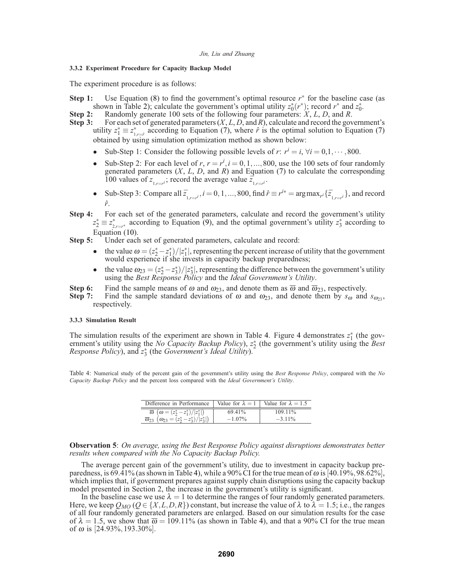## **3.3.2 Experiment Procedure for Capacity Backup Model**

The experiment procedure is as follows:

- **Step 1:** Use Equation (8) to find the government's optimal resource *r*<sup>∗</sup> for the baseline case (as shown in Table 2); calculate the government's optimal utility  $z_0^*(r^*)$ ; record  $r^*$  and  $z_0^*$ .
- **Step 2:** Randomly generate 100 sets of the following four parameters: *X*, *L*, *D*, and *R*. **Step 3:** For each set of generated parameters (*X*, *L*, *D*, and *R*), calculate and record the gov
- **Step 3:** For each set of generated parameters (*X*, *L*, *D*, and *R*), calculate and record the government's utility  $z_1^* \equiv z_{1,r=f}^*$  according to Equation (7), where  $\hat{r}$  is the optimal solution to Equation (7) obtained by using simulation optimization method as shown below:
	- Sub-Step 1: Consider the following possible levels of *r*:  $r^i = i$ ,  $\forall i = 0, 1, \dots, 800$ .
	- Sub-Step 2: For each level of  $r, r = r^i, i = 0, 1, \ldots, 800$ , use the 100 sets of four randomly generated parameters (*X*, *L*, *D*, and *R*) and Equation (7) to calculate the corresponding 100 values of  $z_{1,r=r}$ ; record the average value  $\overline{z}_{1,r=r}$ .
	- Sub-Step 3: Compare all  $\overline{z}_{1,r=r}$ ,  $i = 0, 1, ..., 800$ , find  $\hat{r} \equiv r^{i*} = \arg \max_{r'} {\{\overline{z}_{1,r=r'}\}}$ , and record *r*ˆ.
- **Step 4:** For each set of the generated parameters, calculate and record the government's utility  $z_2^* \equiv z_{2,r=r^*}^*$  according to Equation (9), and the optimal government's utility  $z_3^*$  according to

Equation (10).<br>**Step 5:** Under each Under each set of generated parameters, calculate and record:

- the value  $\omega = (z_2^* z_1^*)/|z_1^*|$ , representing the percent increase of utility that the government would experience if she invests in capacity backup preparedness;
- the value  $\omega_{23} = (z_2^* z_3^*)/|z_3^*|$ , representing the difference between the government's utility using the *Best Response Policy* and the *Ideal Government's Utility*.
- **Step 6:** Find the sample means of  $\omega$  and  $\omega_{23}$ , and denote them as  $\overline{\omega}$  and  $\overline{\omega}_{23}$ , respectively.<br>**Step 7:** Find the sample standard deviations of  $\omega$  and  $\omega_{23}$ , and denote them by  $s_{\omega}$  and
- Find the sample standard deviations of  $\omega$  and  $\omega_{23}$ , and denote them by  $s_{\omega}$  and  $s_{\omega_{3}}$ , respectively.

### **3.3.3 Simulation Result**

The simulation results of the experiment are shown in Table 4. Figure 4 demonstrates  $z_1^*$  (the government's utility using the *No Capacity Backup Policy*), *z*<sup>∗</sup> <sup>2</sup> (the government's utility using the *Best Response Policy*), and *z*<sup>∗</sup> <sup>3</sup> (the *Government's Ideal Utility*).

Table 4: Numerical study of the percent gain of the government's utility using the *Best Response Policy*, compared with the *No Capacity Backup Policy* and the percent loss compared with the *Ideal Government's Utility*.

| Difference in Performance   Value for $\lambda = 1$   Value for $\lambda = 1.5$ |           |            |
|---------------------------------------------------------------------------------|-----------|------------|
| $\overline{\omega}$ $(\omega = (z_2^* - z_1^*)/ z_1^* )$                        | 69.41%    | $109.11\%$ |
| $\overline{\omega}_{23}$ $(\omega_{23} = (z_2^* - z_3^*)/ z_3^* )$              | $-1.07\%$ | $-3.11\%$  |

**Observation 5**: *On average, using the Best Response Policy against disruptions demonstrates better results when compared with the No Capacity Backup Policy.*

The average percent gain of the government's utility, due to investment in capacity backup preparedness, is 69.41% (as shown in Table 4), while a 90% CI for the true mean of  $\omega$  is [40.19%,98.62%], which implies that, if government prepares against supply chain disruptions using the capacity backup model presented in Section 2, the increase in the government's utility is significant.

In the baseline case we use  $\lambda = 1$  to determine the ranges of four randomly generated parameters. Here, we keep  $Q_{MO}$  ( $Q \in \{X, L, D, R\}$ ) constant, but increase the value of  $\lambda$  to  $\lambda = 1.5$ ; i.e., the ranges of all four randomly generated parameters are enlarged. Based on our simulation results for the case of  $\lambda = 1.5$ , we show that  $\overline{\omega} = 109.11\%$  (as shown in Table 4), and that a 90% CI for the true mean of  $\omega$  is [24.93%, 193.30%].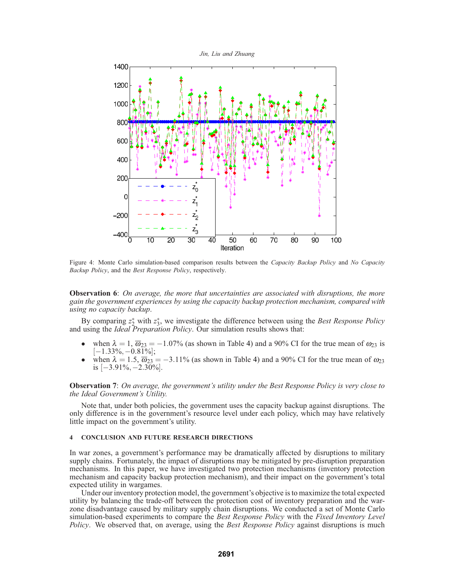

Figure 4: Monte Carlo simulation-based comparison results between the *Capacity Backup Policy* and *No Capacity Backup Policy*, and the *Best Response Policy*, respectively.

**Observation 6**: *On average, the more that uncertainties are associated with disruptions, the more gain the government experiences by using the capacity backup protection mechanism, compared with using no capacity backup*.

By comparing  $z_2^*$  with  $z_3^*$ , we investigate the difference between using the *Best Response Policy* and using the *Ideal Preparation Policy*. Our simulation results shows that:

- when  $\lambda = 1$ ,  $\overline{\omega}_{23} = -1.07\%$  (as shown in Table 4) and a 90% CI for the true mean of  $\omega_{23}$  is  $[-1.33\%, -0.81\%];$
- when  $\lambda = 1.5$ ,  $\overline{\omega}_{23} = -3.11\%$  (as shown in Table 4) and a 90% CI for the true mean of  $\omega_{23}$ is [−3.91%,−2.30%].

**Observation 7**: *On average, the government's utility under the Best Response Policy is very close to the Ideal Government's Utility.*

Note that, under both policies, the government uses the capacity backup against disruptions. The only difference is in the government's resource level under each policy, which may have relatively little impact on the government's utility.

### **4 CONCLUSION AND FUTURE RESEARCH DIRECTIONS**

In war zones, a government's performance may be dramatically affected by disruptions to military supply chains. Fortunately, the impact of disruptions may be mitigated by pre-disruption preparation mechanisms. In this paper, we have investigated two protection mechanisms (inventory protection mechanism and capacity backup protection mechanism), and their impact on the government's total expected utility in wargames.

Under our inventory protection model, the government's objective is to maximize the total expected utility by balancing the trade-off between the protection cost of inventory preparation and the warzone disadvantage caused by military supply chain disruptions. We conducted a set of Monte Carlo simulation-based experiments to compare the *Best Response Policy* with the *Fixed Inventory Level Policy*. We observed that, on average, using the *Best Response Policy* against disruptions is much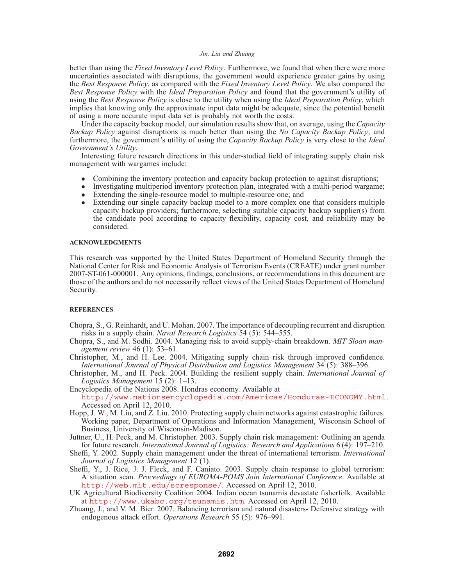better than using the *Fixed Inventory Level Policy*. Furthermore, we found that when there were more uncertainties associated with disruptions, the government would experience greater gains by using the *Best Response Policy*, as compared with the *Fixed Inventory Level Policy*. We also compared the *Best Response Policy* with the *Ideal Preparation Policy* and found that the government's utility of using the *Best Response Policy* is close to the utility when using the *Ideal Preparation Policy*, which implies that knowing only the approximate input data might be adequate, since the potential benefit of using a more accurate input data set is probably not worth the costs.

Under the capacity backup model, our simulation results show that, on average, using the *Capacity Backup Policy* against disruptions is much better than using the *No Capacity Backup Policy*; and furthermore, the government's utility of using the *Capacity Backup Policy* is very close to the *Ideal Government's Utility*.

Interesting future research directions in this under-studied field of integrating supply chain risk management with wargames include:

- Combining the inventory protection and capacity backup protection to against disruptions;
- Investigating multiperiod inventory protection plan, integrated with a multi-period wargame;
- Extending the single-resource model to multiple-resource one; and
- Extending our single capacity backup model to a more complex one that considers multiple capacity backup providers; furthermore, selecting suitable capacity backup supplier(s) from the candidate pool according to capacity flexibility, capacity cost, and reliability may be considered.

### **ACKNOWLEDGMENTS**

This research was supported by the United States Department of Homeland Security through the National Center for Risk and Economic Analysis of Terrorism Events (CREATE) under grant number 2007-ST-061-000001. Any opinions, findings, conclusions, or recommendations in this document are those of the authors and do not necessarily reflect views of the United States Department of Homeland Security.

## **REFERENCES**

- Chopra, S., G. Reinhardt, and U. Mohan. 2007. The importance of decoupling recurrent and disruption risks in a supply chain. *Naval Research Logistics* 54 (5): 544–555.
- Chopra, S., and M. Sodhi. 2004. Managing risk to avoid supply-chain breakdown. *MIT Sloan management review* 46 (1): 53–61.
- Christopher, M., and H. Lee. 2004. Mitigating supply chain risk through improved confidence. *International Journal of Physical Distribution and Logistics Management* 34 (5): 388–396.
- Christopher, M., and H. Peck. 2004. Building the resilient supply chain. *International Journal of Logistics Management* 15 (2): 1–13.

Encyclopedia of the Nations 2008. Hondras economy. Available at http://www.nationsencyclopedia.com/Americas/Honduras-ECONOMY.html. Accessed on April 12, 2010.

- Hopp, J. W., M. Liu, and Z. Liu. 2010. Protecting supply chain networks against catastrophic failures. Working paper, Department of Operations and Information Management, Wisconsin School of Business, University of Wisconsin-Madison.
- Juttner, U., H. Peck, and M. Christopher. 2003. Supply chain risk management: Outlining an agenda for future research. *International Journal of Logistics: Research and Applications* 6 (4): 197–210.
- Sheffi, Y. 2002. Supply chain management under the threat of international terrorism. *International Journal of Logistics Management* 12 (1).
- Sheffi, Y., J. Rice, J. J. Fleck, and F. Caniato. 2003. Supply chain response to global terrorism: A situation scan. *Proceedings of EUROMA-POMS Join International Conference*. Available at http://web.mit.edu/scresponse/. Accessed on April 12, 2010.
- UK Agricultural Biodiversity Coalition 2004. Indian ocean tsunamis devastate fisherfolk. Available at http://www.ukabc.org/tsunamis.htm. Accessed on April 12, 2010.
- Zhuang, J., and V. M. Bier. 2007. Balancing terrorism and natural disasters- Defensive strategy with endogenous attack effort. *Operations Research* 55 (5): 976–991.